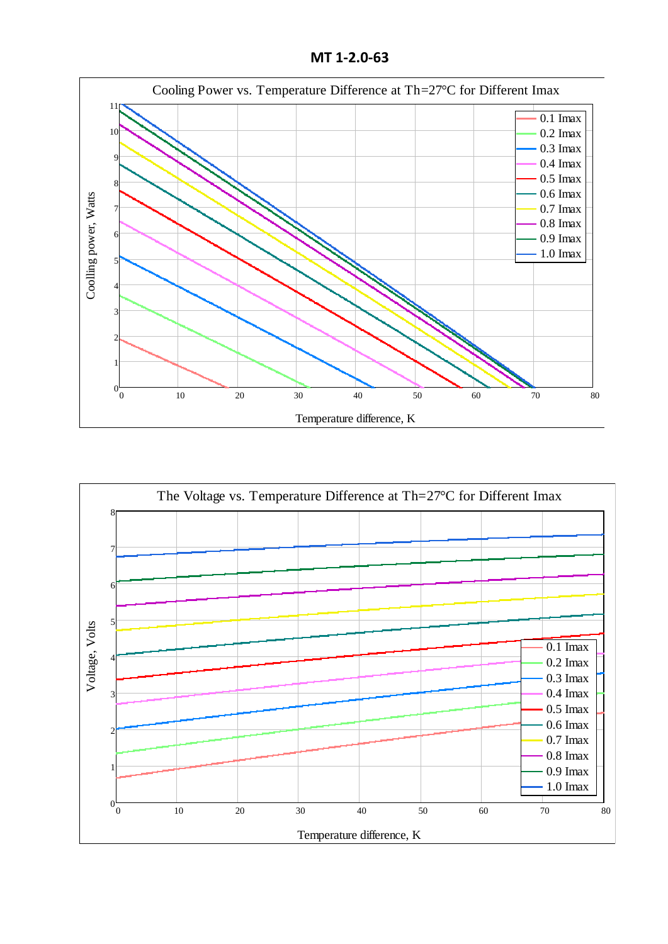**MT 1-2.0-63**